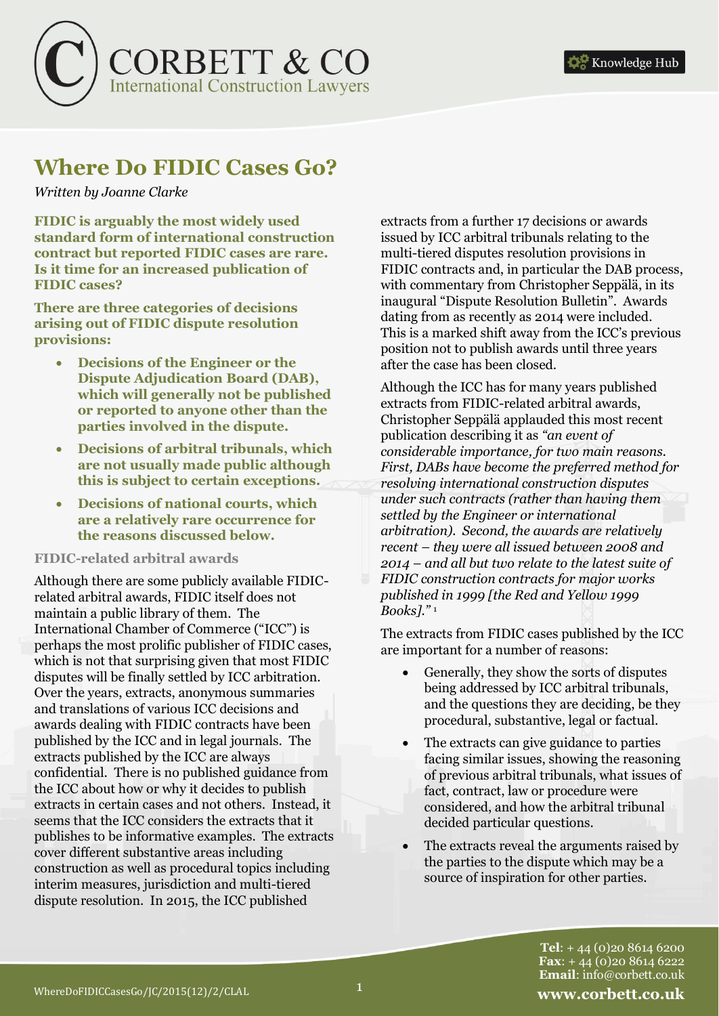

# **Where Do FIDIC Cases Go?**

### *Written by Joanne Clarke*

**FIDIC is arguably the most widely used standard form of international construction contract but reported FIDIC cases are rare. Is it time for an increased publication of FIDIC cases?** 

**There are three categories of decisions arising out of FIDIC dispute resolution provisions:** 

- **Decisions of the Engineer or the Dispute Adjudication Board (DAB), which will generally not be published or reported to anyone other than the parties involved in the dispute.**
- **Decisions of arbitral tribunals, which are not usually made public although this is subject to certain exceptions.**
- **Decisions of national courts, which are a relatively rare occurrence for the reasons discussed below.**

#### **FIDIC-related arbitral awards**

Although there are some publicly available FIDICrelated arbitral awards, FIDIC itself does not maintain a public library of them. The International Chamber of Commerce ("ICC") is perhaps the most prolific publisher of FIDIC cases, which is not that surprising given that most FIDIC disputes will be finally settled by ICC arbitration. Over the years, extracts, anonymous summaries and translations of various ICC decisions and awards dealing with FIDIC contracts have been published by the ICC and in legal journals. The extracts published by the ICC are always confidential. There is no published guidance from the ICC about how or why it decides to publish extracts in certain cases and not others. Instead, it seems that the ICC considers the extracts that it publishes to be informative examples. The extracts cover different substantive areas including construction as well as procedural topics including interim measures, jurisdiction and multi-tiered dispute resolution. In 2015, the ICC published

extracts from a further 17 decisions or awards issued by ICC arbitral tribunals relating to the multi-tiered disputes resolution provisions in FIDIC contracts and, in particular the DAB process, with commentary from Christopher Seppälä, in its inaugural "Dispute Resolution Bulletin". Awards dating from as recently as 2014 were included. This is a marked shift away from the ICC's previous position not to publish awards until three years after the case has been closed.

Although the ICC has for many years published extracts from FIDIC-related arbitral awards, Christopher Seppälä applauded this most recent publication describing it as *"an event of considerable importance, for two main reasons. First, DABs have become the preferred method for resolving international construction disputes under such contracts (rather than having them settled by the Engineer or international arbitration). Second, the awards are relatively recent – they were all issued between 2008 and 2014 – and all but two relate to the latest suite of FIDIC construction contracts for major works published in 1999 [the Red and Yellow 1999 Books]."* <sup>1</sup>

The extracts from FIDIC cases published by the ICC are important for a number of reasons:

- Generally, they show the sorts of disputes being addressed by ICC arbitral tribunals, and the questions they are deciding, be they procedural, substantive, legal or factual.
- The extracts can give guidance to parties facing similar issues, showing the reasoning of previous arbitral tribunals, what issues of fact, contract, law or procedure were considered, and how the arbitral tribunal decided particular questions.
- The extracts reveal the arguments raised by the parties to the dispute which may be a source of inspiration for other parties.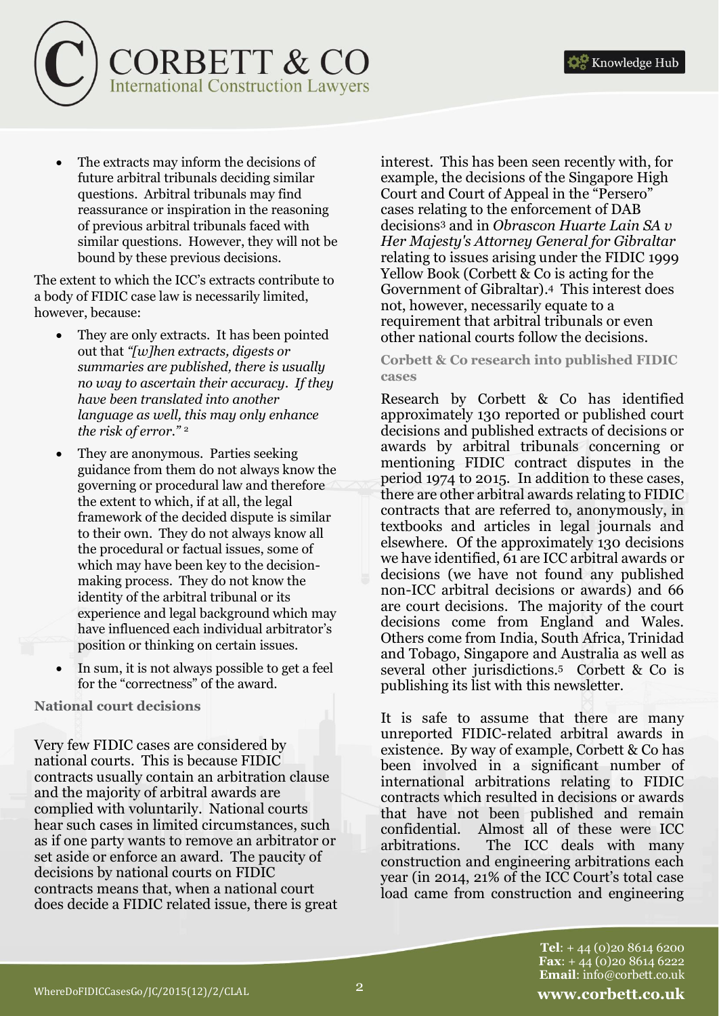

 The extracts may inform the decisions of future arbitral tribunals deciding similar questions. Arbitral tribunals may find reassurance or inspiration in the reasoning of previous arbitral tribunals faced with similar questions. However, they will not be bound by these previous decisions.

The extent to which the ICC's extracts contribute to a body of FIDIC case law is necessarily limited, however, because:

- They are only extracts. It has been pointed out that *"[w]hen extracts, digests or summaries are published, there is usually no way to ascertain their accuracy. If they have been translated into another language as well, this may only enhance the risk of error."* <sup>2</sup>
- They are anonymous. Parties seeking guidance from them do not always know the governing or procedural law and therefore the extent to which, if at all, the legal framework of the decided dispute is similar to their own. They do not always know all the procedural or factual issues, some of which may have been key to the decisionmaking process. They do not know the identity of the arbitral tribunal or its experience and legal background which may have influenced each individual arbitrator's position or thinking on certain issues.
- In sum, it is not always possible to get a feel for the "correctness" of the award.

**National court decisions**

Very few FIDIC cases are considered by national courts. This is because FIDIC contracts usually contain an arbitration clause and the majority of arbitral awards are complied with voluntarily. National courts hear such cases in limited circumstances, such as if one party wants to remove an arbitrator or set aside or enforce an award. The paucity of decisions by national courts on FIDIC contracts means that, when a national court does decide a FIDIC related issue, there is great interest. This has been seen recently with, for example, the decisions of the Singapore High Court and Court of Appeal in the "Persero" cases relating to the enforcement of DAB decisions<sup>3</sup> and in *Obrascon Huarte Lain SA v Her Majesty's Attorney General for Gibraltar*  relating to issues arising under the FIDIC 1999 Yellow Book (Corbett & Co is acting for the Government of Gibraltar).4 This interest does not, however, necessarily equate to a requirement that arbitral tribunals or even other national courts follow the decisions.

**Corbett & Co research into published FIDIC cases** 

Research by Corbett & Co has identified approximately 130 reported or published court decisions and published extracts of decisions or awards by arbitral tribunals concerning or mentioning FIDIC contract disputes in the period 1974 to 2015. In addition to these cases, there are other arbitral awards relating to FIDIC contracts that are referred to, anonymously, in textbooks and articles in legal journals and elsewhere. Of the approximately 130 decisions we have identified, 61 are ICC arbitral awards or decisions (we have not found any published non-ICC arbitral decisions or awards) and 66 are court decisions. The majority of the court decisions come from England and Wales. Others come from India, South Africa, Trinidad and Tobago, Singapore and Australia as well as several other jurisdictions.5 Corbett & Co is publishing its list with this newsletter.

It is safe to assume that there are many unreported FIDIC-related arbitral awards in existence. By way of example, Corbett & Co has been involved in a significant number of international arbitrations relating to FIDIC contracts which resulted in decisions or awards that have not been published and remain confidential. Almost all of these were ICC arbitrations. The ICC deals with many construction and engineering arbitrations each year (in 2014, 21% of the ICC Court's total case load came from construction and engineering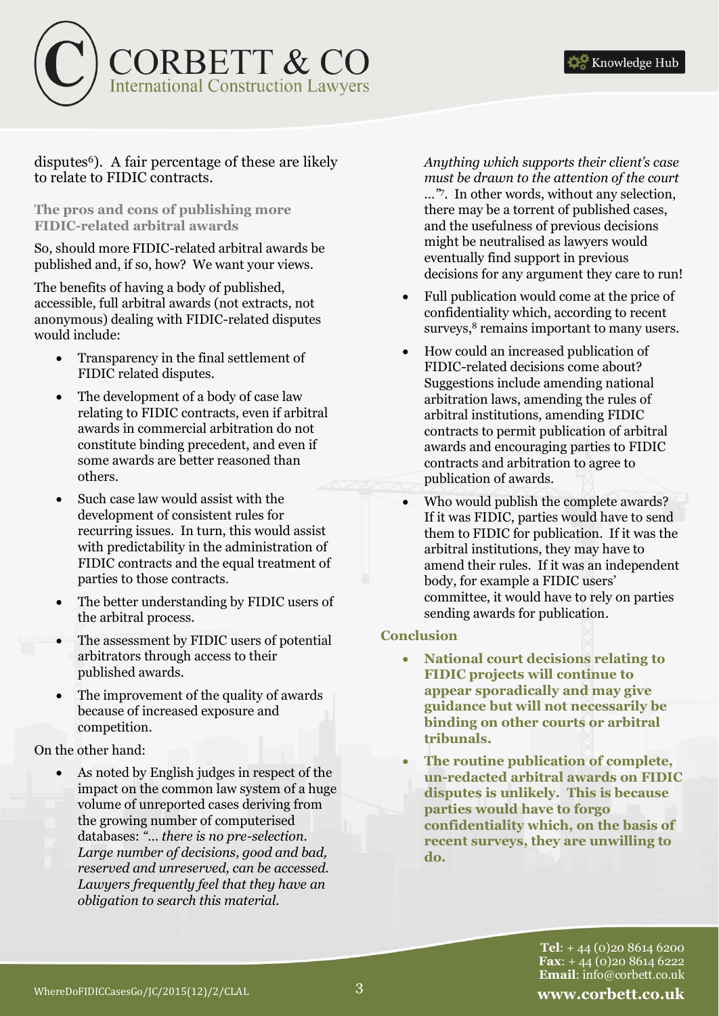

### disputes<sup>6</sup>). A fair percentage of these are likely to relate to FIDIC contracts.

#### **The pros and cons of publishing more FIDIC-related arbitral awards**

So, should more FIDIC-related arbitral awards be published and, if so, how? We want your views.

The benefits of having a body of published, accessible, full arbitral awards (not extracts, not anonymous) dealing with FIDIC-related disputes would include:

- Transparency in the final settlement of FIDIC related disputes.
- The development of a body of case law relating to FIDIC contracts, even if arbitral awards in commercial arbitration do not constitute binding precedent, and even if some awards are better reasoned than others.
- Such case law would assist with the development of consistent rules for recurring issues. In turn, this would assist with predictability in the administration of FIDIC contracts and the equal treatment of parties to those contracts.
- The better understanding by FIDIC users of the arbitral process.
- The assessment by FIDIC users of potential arbitrators through access to their published awards.
- The improvement of the quality of awards because of increased exposure and competition.

On the other hand:

 As noted by English judges in respect of the impact on the common law system of a huge volume of unreported cases deriving from the growing number of computerised databases: *"… there is no pre-selection. Large number of decisions, good and bad, reserved and unreserved, can be accessed. Lawyers frequently feel that they have an obligation to search this material.* 

*Anything which supports their client's case must be drawn to the attention of the court …"*<sup>7</sup> . In other words, without any selection, there may be a torrent of published cases, and the usefulness of previous decisions might be neutralised as lawyers would eventually find support in previous decisions for any argument they care to run!

- Full publication would come at the price of confidentiality which, according to recent surveys,<sup>8</sup> remains important to many users.
- How could an increased publication of FIDIC-related decisions come about? Suggestions include amending national arbitration laws, amending the rules of arbitral institutions, amending FIDIC contracts to permit publication of arbitral awards and encouraging parties to FIDIC contracts and arbitration to agree to publication of awards.
- Who would publish the complete awards? If it was FIDIC, parties would have to send them to FIDIC for publication. If it was the arbitral institutions, they may have to amend their rules. If it was an independent body, for example a FIDIC users' committee, it would have to rely on parties sending awards for publication.

## **Conclusion**

- **National court decisions relating to FIDIC projects will continue to appear sporadically and may give guidance but will not necessarily be binding on other courts or arbitral tribunals.**
- **The routine publication of complete, un-redacted arbitral awards on FIDIC disputes is unlikely. This is because parties would have to forgo confidentiality which, on the basis of recent surveys, they are unwilling to do.**